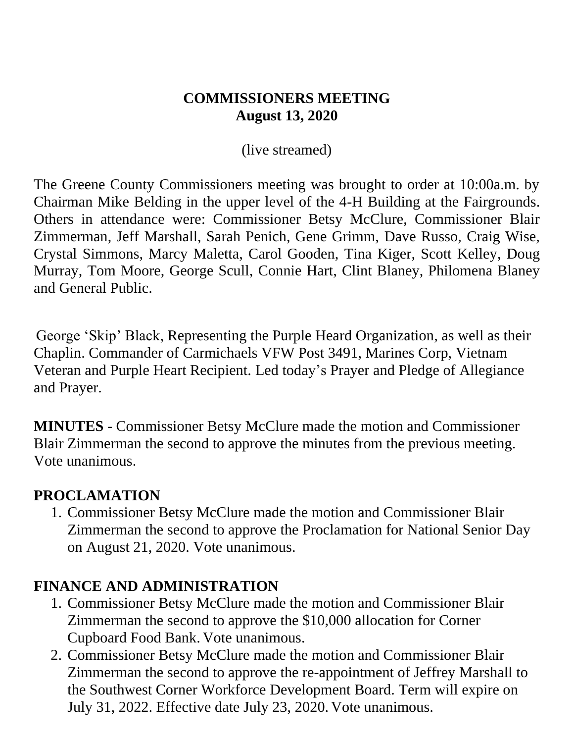#### **COMMISSIONERS MEETING August 13, 2020**

(live streamed)

The Greene County Commissioners meeting was brought to order at 10:00a.m. by Chairman Mike Belding in the upper level of the 4-H Building at the Fairgrounds. Others in attendance were: Commissioner Betsy McClure, Commissioner Blair Zimmerman, Jeff Marshall, Sarah Penich, Gene Grimm, Dave Russo, Craig Wise, Crystal Simmons, Marcy Maletta, Carol Gooden, Tina Kiger, Scott Kelley, Doug Murray, Tom Moore, George Scull, Connie Hart, Clint Blaney, Philomena Blaney and General Public.

George 'Skip' Black, Representing the Purple Heard Organization, as well as their Chaplin. Commander of Carmichaels VFW Post 3491, Marines Corp, Vietnam Veteran and Purple Heart Recipient. Led today's Prayer and Pledge of Allegiance and Prayer.

**MINUTES** - Commissioner Betsy McClure made the motion and Commissioner Blair Zimmerman the second to approve the minutes from the previous meeting. Vote unanimous.

### **PROCLAMATION**

1. Commissioner Betsy McClure made the motion and Commissioner Blair Zimmerman the second to approve the Proclamation for National Senior Day on August 21, 2020. Vote unanimous.

### **FINANCE AND ADMINISTRATION**

- 1. Commissioner Betsy McClure made the motion and Commissioner Blair Zimmerman the second to approve the \$10,000 allocation for Corner Cupboard Food Bank. Vote unanimous.
- 2. Commissioner Betsy McClure made the motion and Commissioner Blair Zimmerman the second to approve the re-appointment of Jeffrey Marshall to the Southwest Corner Workforce Development Board. Term will expire on July 31, 2022. Effective date July 23, 2020. Vote unanimous.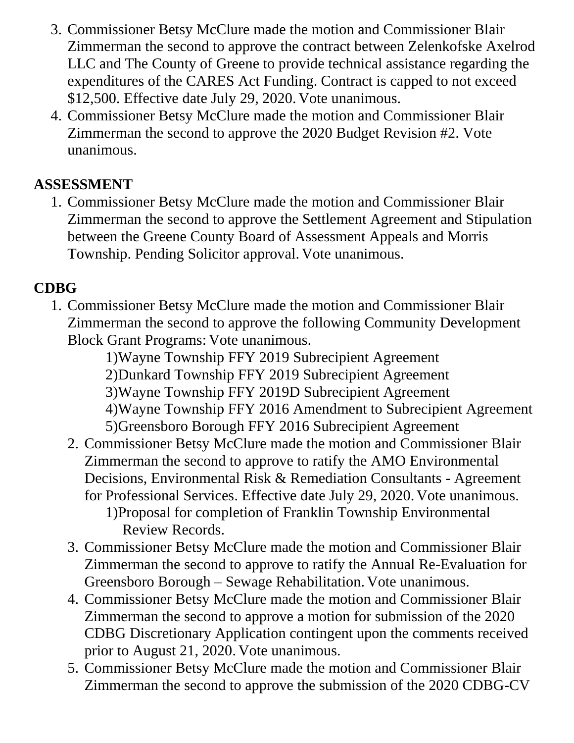- 3. Commissioner Betsy McClure made the motion and Commissioner Blair Zimmerman the second to approve the contract between Zelenkofske Axelrod LLC and The County of Greene to provide technical assistance regarding the expenditures of the CARES Act Funding. Contract is capped to not exceed \$12,500. Effective date July 29, 2020. Vote unanimous.
- 4. Commissioner Betsy McClure made the motion and Commissioner Blair Zimmerman the second to approve the 2020 Budget Revision #2. Vote unanimous.

## **ASSESSMENT**

1. Commissioner Betsy McClure made the motion and Commissioner Blair Zimmerman the second to approve the Settlement Agreement and Stipulation between the Greene County Board of Assessment Appeals and Morris Township. Pending Solicitor approval. Vote unanimous.

# **CDBG**

1. Commissioner Betsy McClure made the motion and Commissioner Blair Zimmerman the second to approve the following Community Development Block Grant Programs: Vote unanimous.

1)Wayne Township FFY 2019 Subrecipient Agreement 2)Dunkard Township FFY 2019 Subrecipient Agreement 3)Wayne Township FFY 2019D Subrecipient Agreement 4)Wayne Township FFY 2016 Amendment to Subrecipient Agreement 5)Greensboro Borough FFY 2016 Subrecipient Agreement

- 2. Commissioner Betsy McClure made the motion and Commissioner Blair Zimmerman the second to approve to ratify the AMO Environmental Decisions, Environmental Risk & Remediation Consultants - Agreement for Professional Services. Effective date July 29, 2020. Vote unanimous. 1)Proposal for completion of Franklin Township Environmental Review Records.
- 3. Commissioner Betsy McClure made the motion and Commissioner Blair Zimmerman the second to approve to ratify the Annual Re-Evaluation for Greensboro Borough – Sewage Rehabilitation. Vote unanimous.
- 4. Commissioner Betsy McClure made the motion and Commissioner Blair Zimmerman the second to approve a motion for submission of the 2020 CDBG Discretionary Application contingent upon the comments received prior to August 21, 2020. Vote unanimous.
- 5. Commissioner Betsy McClure made the motion and Commissioner Blair Zimmerman the second to approve the submission of the 2020 CDBG-CV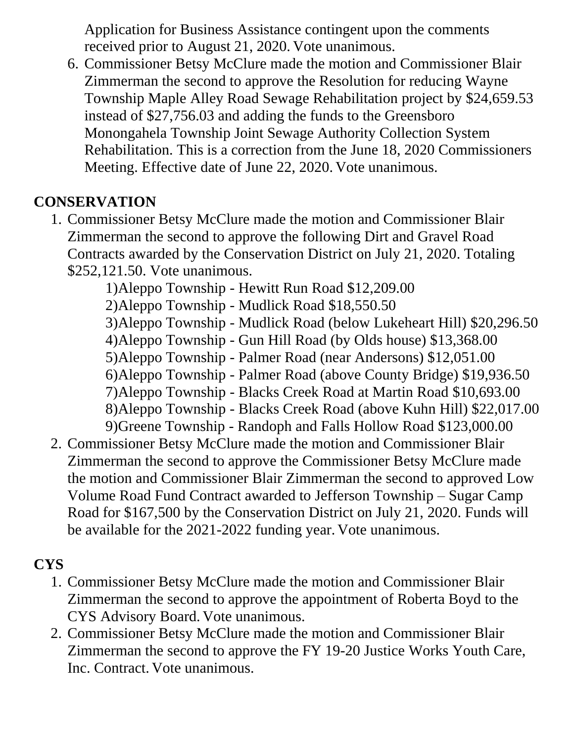Application for Business Assistance contingent upon the comments received prior to August 21, 2020. Vote unanimous.

6. Commissioner Betsy McClure made the motion and Commissioner Blair Zimmerman the second to approve the Resolution for reducing Wayne Township Maple Alley Road Sewage Rehabilitation project by \$24,659.53 instead of \$27,756.03 and adding the funds to the Greensboro Monongahela Township Joint Sewage Authority Collection System Rehabilitation. This is a correction from the June 18, 2020 Commissioners Meeting. Effective date of June 22, 2020. Vote unanimous.

## **CONSERVATION**

1. Commissioner Betsy McClure made the motion and Commissioner Blair Zimmerman the second to approve the following Dirt and Gravel Road Contracts awarded by the Conservation District on July 21, 2020. Totaling \$252,121.50. Vote unanimous.

1)Aleppo Township - Hewitt Run Road \$12,209.00

2)Aleppo Township - Mudlick Road \$18,550.50

- 3)Aleppo Township Mudlick Road (below Lukeheart Hill) \$20,296.50
- 4)Aleppo Township Gun Hill Road (by Olds house) \$13,368.00
- 5)Aleppo Township Palmer Road (near Andersons) \$12,051.00
- 6)Aleppo Township Palmer Road (above County Bridge) \$19,936.50
- 7)Aleppo Township Blacks Creek Road at Martin Road \$10,693.00
- 8)Aleppo Township Blacks Creek Road (above Kuhn Hill) \$22,017.00

9)Greene Township - Randoph and Falls Hollow Road \$123,000.00

2. Commissioner Betsy McClure made the motion and Commissioner Blair Zimmerman the second to approve the Commissioner Betsy McClure made the motion and Commissioner Blair Zimmerman the second to approved Low Volume Road Fund Contract awarded to Jefferson Township – Sugar Camp Road for \$167,500 by the Conservation District on July 21, 2020. Funds will be available for the 2021-2022 funding year. Vote unanimous.

## **CYS**

- 1. Commissioner Betsy McClure made the motion and Commissioner Blair Zimmerman the second to approve the appointment of Roberta Boyd to the CYS Advisory Board. Vote unanimous.
- 2. Commissioner Betsy McClure made the motion and Commissioner Blair Zimmerman the second to approve the FY 19-20 Justice Works Youth Care, Inc. Contract. Vote unanimous.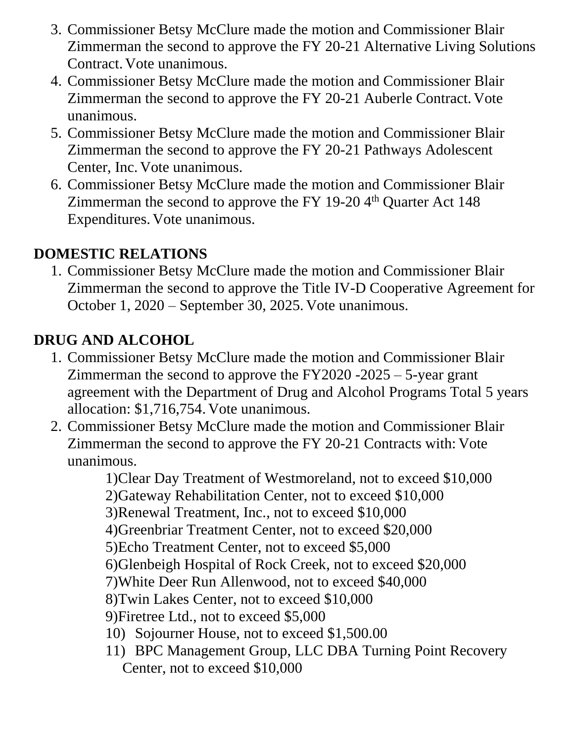- 3. Commissioner Betsy McClure made the motion and Commissioner Blair Zimmerman the second to approve the FY 20-21 Alternative Living Solutions Contract. Vote unanimous.
- 4. Commissioner Betsy McClure made the motion and Commissioner Blair Zimmerman the second to approve the FY 20-21 Auberle Contract. Vote unanimous.
- 5. Commissioner Betsy McClure made the motion and Commissioner Blair Zimmerman the second to approve the FY 20-21 Pathways Adolescent Center, Inc. Vote unanimous.
- 6. Commissioner Betsy McClure made the motion and Commissioner Blair Zimmerman the second to approve the FY 19-20  $4<sup>th</sup>$  Quarter Act 148 Expenditures. Vote unanimous.

## **DOMESTIC RELATIONS**

1. Commissioner Betsy McClure made the motion and Commissioner Blair Zimmerman the second to approve the Title IV-D Cooperative Agreement for October 1, 2020 – September 30, 2025. Vote unanimous.

# **DRUG AND ALCOHOL**

- 1. Commissioner Betsy McClure made the motion and Commissioner Blair Zimmerman the second to approve the FY2020 -2025 – 5-year grant agreement with the Department of Drug and Alcohol Programs Total 5 years allocation: \$1,716,754. Vote unanimous.
- 2. Commissioner Betsy McClure made the motion and Commissioner Blair Zimmerman the second to approve the FY 20-21 Contracts with: Vote unanimous.

1)Clear Day Treatment of Westmoreland, not to exceed \$10,000 2)Gateway Rehabilitation Center, not to exceed \$10,000 3)Renewal Treatment, Inc., not to exceed \$10,000 4)Greenbriar Treatment Center, not to exceed \$20,000 5)Echo Treatment Center, not to exceed \$5,000 6)Glenbeigh Hospital of Rock Creek, not to exceed \$20,000 7)White Deer Run Allenwood, not to exceed \$40,000 8)Twin Lakes Center, not to exceed \$10,000 9)Firetree Ltd., not to exceed \$5,000 10) Sojourner House, not to exceed \$1,500.00

11) BPC Management Group, LLC DBA Turning Point Recovery Center, not to exceed \$10,000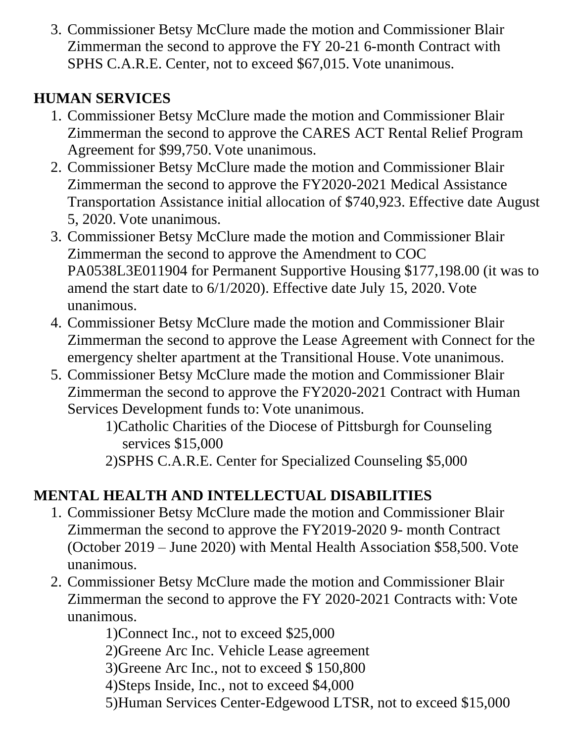3. Commissioner Betsy McClure made the motion and Commissioner Blair Zimmerman the second to approve the FY 20-21 6-month Contract with SPHS C.A.R.E. Center, not to exceed \$67,015. Vote unanimous.

# **HUMAN SERVICES**

- 1. Commissioner Betsy McClure made the motion and Commissioner Blair Zimmerman the second to approve the CARES ACT Rental Relief Program Agreement for \$99,750. Vote unanimous.
- 2. Commissioner Betsy McClure made the motion and Commissioner Blair Zimmerman the second to approve the FY2020-2021 Medical Assistance Transportation Assistance initial allocation of \$740,923. Effective date August 5, 2020. Vote unanimous.
- 3. Commissioner Betsy McClure made the motion and Commissioner Blair Zimmerman the second to approve the Amendment to COC PA0538L3E011904 for Permanent Supportive Housing \$177,198.00 (it was to amend the start date to 6/1/2020). Effective date July 15, 2020. Vote unanimous.
- 4. Commissioner Betsy McClure made the motion and Commissioner Blair Zimmerman the second to approve the Lease Agreement with Connect for the emergency shelter apartment at the Transitional House. Vote unanimous.
- 5. Commissioner Betsy McClure made the motion and Commissioner Blair Zimmerman the second to approve the FY2020-2021 Contract with Human Services Development funds to: Vote unanimous.

1)Catholic Charities of the Diocese of Pittsburgh for Counseling services \$15,000

2)SPHS C.A.R.E. Center for Specialized Counseling \$5,000

# **MENTAL HEALTH AND INTELLECTUAL DISABILITIES**

- 1. Commissioner Betsy McClure made the motion and Commissioner Blair Zimmerman the second to approve the FY2019-2020 9- month Contract (October 2019 – June 2020) with Mental Health Association \$58,500. Vote unanimous.
- 2. Commissioner Betsy McClure made the motion and Commissioner Blair Zimmerman the second to approve the FY 2020-2021 Contracts with: Vote unanimous.

1)Connect Inc., not to exceed \$25,000

2)Greene Arc Inc. Vehicle Lease agreement

3)Greene Arc Inc., not to exceed \$ 150,800

4)Steps Inside, Inc., not to exceed \$4,000

5)Human Services Center-Edgewood LTSR, not to exceed \$15,000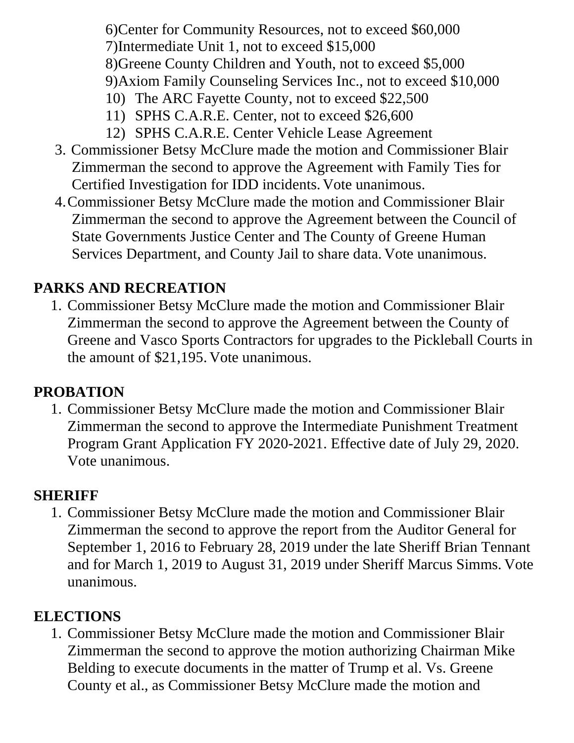6)Center for Community Resources, not to exceed \$60,000 7)Intermediate Unit 1, not to exceed \$15,000 8)Greene County Children and Youth, not to exceed \$5,000 9)Axiom Family Counseling Services Inc., not to exceed \$10,000

- 10) The ARC Fayette County, not to exceed \$22,500
- 11) SPHS C.A.R.E. Center, not to exceed \$26,600
- 12) SPHS C.A.R.E. Center Vehicle Lease Agreement
- 3. Commissioner Betsy McClure made the motion and Commissioner Blair Zimmerman the second to approve the Agreement with Family Ties for Certified Investigation for IDD incidents. Vote unanimous.
- 4.Commissioner Betsy McClure made the motion and Commissioner Blair Zimmerman the second to approve the Agreement between the Council of State Governments Justice Center and The County of Greene Human Services Department, and County Jail to share data. Vote unanimous.

## **PARKS AND RECREATION**

1. Commissioner Betsy McClure made the motion and Commissioner Blair Zimmerman the second to approve the Agreement between the County of Greene and Vasco Sports Contractors for upgrades to the Pickleball Courts in the amount of \$21,195. Vote unanimous.

### **PROBATION**

1. Commissioner Betsy McClure made the motion and Commissioner Blair Zimmerman the second to approve the Intermediate Punishment Treatment Program Grant Application FY 2020-2021. Effective date of July 29, 2020. Vote unanimous.

### **SHERIFF**

1. Commissioner Betsy McClure made the motion and Commissioner Blair Zimmerman the second to approve the report from the Auditor General for September 1, 2016 to February 28, 2019 under the late Sheriff Brian Tennant and for March 1, 2019 to August 31, 2019 under Sheriff Marcus Simms. Vote unanimous.

## **ELECTIONS**

1. Commissioner Betsy McClure made the motion and Commissioner Blair Zimmerman the second to approve the motion authorizing Chairman Mike Belding to execute documents in the matter of Trump et al. Vs. Greene County et al., as Commissioner Betsy McClure made the motion and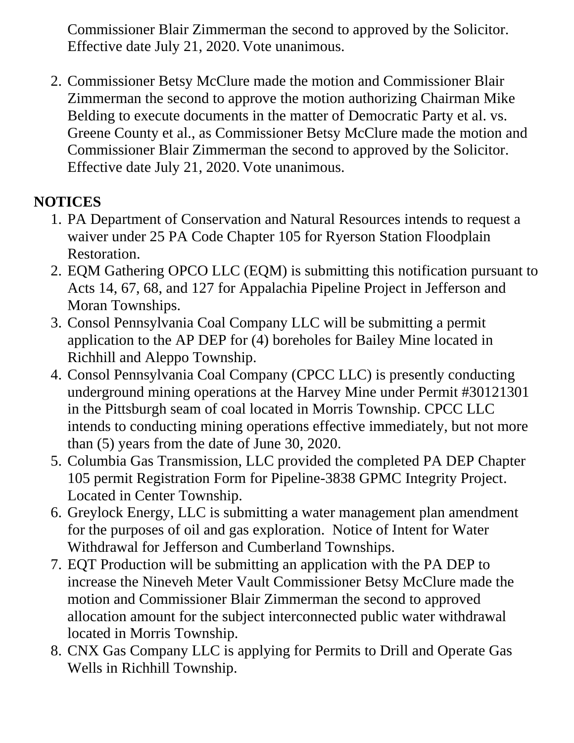Commissioner Blair Zimmerman the second to approved by the Solicitor. Effective date July 21, 2020. Vote unanimous.

2. Commissioner Betsy McClure made the motion and Commissioner Blair Zimmerman the second to approve the motion authorizing Chairman Mike Belding to execute documents in the matter of Democratic Party et al. vs. Greene County et al., as Commissioner Betsy McClure made the motion and Commissioner Blair Zimmerman the second to approved by the Solicitor. Effective date July 21, 2020. Vote unanimous.

# **NOTICES**

- 1. PA Department of Conservation and Natural Resources intends to request a waiver under 25 PA Code Chapter 105 for Ryerson Station Floodplain Restoration.
- 2. EQM Gathering OPCO LLC (EQM) is submitting this notification pursuant to Acts 14, 67, 68, and 127 for Appalachia Pipeline Project in Jefferson and Moran Townships.
- 3. Consol Pennsylvania Coal Company LLC will be submitting a permit application to the AP DEP for (4) boreholes for Bailey Mine located in Richhill and Aleppo Township.
- 4. Consol Pennsylvania Coal Company (CPCC LLC) is presently conducting underground mining operations at the Harvey Mine under Permit #30121301 in the Pittsburgh seam of coal located in Morris Township. CPCC LLC intends to conducting mining operations effective immediately, but not more than (5) years from the date of June 30, 2020.
- 5. Columbia Gas Transmission, LLC provided the completed PA DEP Chapter 105 permit Registration Form for Pipeline-3838 GPMC Integrity Project. Located in Center Township.
- 6. Greylock Energy, LLC is submitting a water management plan amendment for the purposes of oil and gas exploration. Notice of Intent for Water Withdrawal for Jefferson and Cumberland Townships.
- 7. EQT Production will be submitting an application with the PA DEP to increase the Nineveh Meter Vault Commissioner Betsy McClure made the motion and Commissioner Blair Zimmerman the second to approved allocation amount for the subject interconnected public water withdrawal located in Morris Township.
- 8. CNX Gas Company LLC is applying for Permits to Drill and Operate Gas Wells in Richhill Township.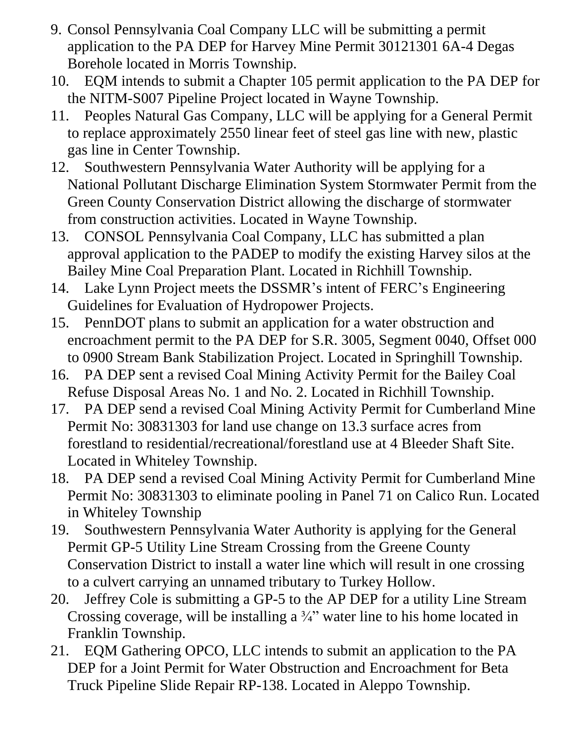- 9. Consol Pennsylvania Coal Company LLC will be submitting a permit application to the PA DEP for Harvey Mine Permit 30121301 6A-4 Degas Borehole located in Morris Township.
- 10. EQM intends to submit a Chapter 105 permit application to the PA DEP for the NITM-S007 Pipeline Project located in Wayne Township.
- 11. Peoples Natural Gas Company, LLC will be applying for a General Permit to replace approximately 2550 linear feet of steel gas line with new, plastic gas line in Center Township.
- 12. Southwestern Pennsylvania Water Authority will be applying for a National Pollutant Discharge Elimination System Stormwater Permit from the Green County Conservation District allowing the discharge of stormwater from construction activities. Located in Wayne Township.
- 13. CONSOL Pennsylvania Coal Company, LLC has submitted a plan approval application to the PADEP to modify the existing Harvey silos at the Bailey Mine Coal Preparation Plant. Located in Richhill Township.
- 14. Lake Lynn Project meets the DSSMR's intent of FERC's Engineering Guidelines for Evaluation of Hydropower Projects.
- 15. PennDOT plans to submit an application for a water obstruction and encroachment permit to the PA DEP for S.R. 3005, Segment 0040, Offset 000 to 0900 Stream Bank Stabilization Project. Located in Springhill Township.
- 16. PA DEP sent a revised Coal Mining Activity Permit for the Bailey Coal Refuse Disposal Areas No. 1 and No. 2. Located in Richhill Township.
- 17. PA DEP send a revised Coal Mining Activity Permit for Cumberland Mine Permit No: 30831303 for land use change on 13.3 surface acres from forestland to residential/recreational/forestland use at 4 Bleeder Shaft Site. Located in Whiteley Township.
- 18. PA DEP send a revised Coal Mining Activity Permit for Cumberland Mine Permit No: 30831303 to eliminate pooling in Panel 71 on Calico Run. Located in Whiteley Township
- 19. Southwestern Pennsylvania Water Authority is applying for the General Permit GP-5 Utility Line Stream Crossing from the Greene County Conservation District to install a water line which will result in one crossing to a culvert carrying an unnamed tributary to Turkey Hollow.
- 20. Jeffrey Cole is submitting a GP-5 to the AP DEP for a utility Line Stream Crossing coverage, will be installing a  $\frac{3}{4}$ " water line to his home located in Franklin Township.
- 21. EQM Gathering OPCO, LLC intends to submit an application to the PA DEP for a Joint Permit for Water Obstruction and Encroachment for Beta Truck Pipeline Slide Repair RP-138. Located in Aleppo Township.